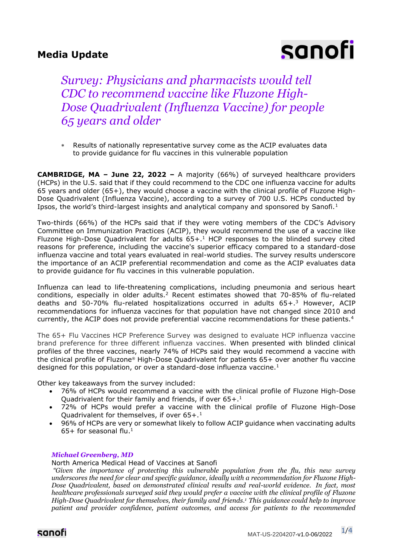## **Media Update**

# sanofi

# *Survey: Physicians and pharmacists would tell CDC to recommend vaccine like Fluzone High-Dose Quadrivalent (Influenza Vaccine) for people 65 years and older*

 Results of nationally representative survey come as the ACIP evaluates data to provide guidance for flu vaccines in this vulnerable population

**CAMBRIDGE, MA – June 22, 2022 –** A majority (66%) of surveyed healthcare providers (HCPs) in the U.S. said that if they could recommend to the CDC one influenza vaccine for adults 65 years and older (65+), they would choose a vaccine with the clinical profile of Fluzone High-Dose Quadrivalent (Influenza Vaccine), according to a survey of 700 U.S. HCPs conducted by Ipsos, the world's third-largest insights and analytical company and sponsored by Sanofi.<sup>1</sup>

Two-thirds (66%) of the HCPs said that if they were voting members of the CDC's Advisory Committee on Immunization Practices (ACIP), they would recommend the use of a vaccine like Fluzone High-Dose Quadrivalent for adults 65+.<sup>1</sup> HCP responses to the blinded survey cited reasons for preference, including the vaccine's superior efficacy compared to a standard-dose influenza vaccine and total years evaluated in real-world studies. The survey results underscore the importance of an ACIP preferential recommendation and come as the ACIP evaluates data to provide guidance for flu vaccines in this vulnerable population.

Influenza can lead to life-threatening complications, including pneumonia and serious heart conditions, especially in older adults.<sup>2</sup> Recent estimates showed that 70-85% of flu-related deaths and 50-70% flu-related hospitalizations occurred in adults 65+.<sup>3</sup> However, ACIP recommendations for influenza vaccines for that population have not changed since 2010 and currently, the ACIP does not provide preferential vaccine recommendations for these patients.<sup>4</sup>

The 65+ Flu Vaccines HCP Preference Survey was designed to evaluate HCP influenza vaccine brand preference for three different influenza vaccines. When presented with blinded clinical profiles of the three vaccines, nearly 74% of HCPs said they would recommend a vaccine with the clinical profile of Fluzone® High-Dose Quadrivalent for patients 65+ over another flu vaccine designed for this population, or over a standard-dose influenza vaccine.<sup>1</sup>

Other key takeaways from the survey included:

- 76% of HCPs would recommend a vaccine with the clinical profile of Fluzone High-Dose Quadrivalent for their family and friends, if over  $65 + .<sup>1</sup>$
- 72% of HCPs would prefer a vaccine with the clinical profile of Fluzone High-Dose Quadrivalent for themselves, if over 65+.<sup>1</sup>
- 96% of HCPs are very or somewhat likely to follow ACIP guidance when vaccinating adults 65+ for seasonal flu. $<sup>1</sup>$ </sup>

#### *Michael Greenberg, MD*

North America Medical Head of Vaccines at Sanofi

*"Given the importance of protecting this vulnerable population from the flu, this new survey underscores the need for clear and specific guidance, ideally with a recommendation for Fluzone High-Dose Quadrivalent, based on demonstrated clinical results and real-world evidence. In fact, most healthcare professionals surveyed said they would prefer a vaccine with the clinical profile of Fluzone High-Dose Quadrivalent for themselves, their family and friends.<sup>1</sup> This guidance could help to improve patient and provider confidence, patient outcomes, and access for patients to the recommended* 

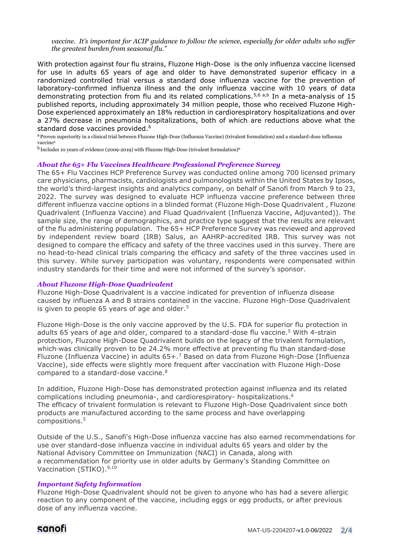*vaccine. It's important for ACIP guidance to follow the science, especially for older adults who suffer the greatest burden from seasonal flu."*

With protection against four flu strains, Fluzone High-Dose is the only influenza vaccine licensed for use in adults 65 years of age and older to have demonstrated superior efficacy in a randomized controlled trial versus a standard dose influenza vaccine for the prevention of laboratory-confirmed influenza illness and the only influenza vaccine with 10 years of data demonstrating protection from flu and its related complications.<sup>5,6 a,b</sup> In a meta-analysis of 15 published reports, including approximately 34 million people, those who received Fluzone High-Dose experienced approximately an 18% reduction in cardiorespiratory hospitalizations and over a 27% decrease in pneumonia hospitalizations, both of which are reductions above what the standard dose vaccines provided.<sup>6</sup>

a Proven superiority in a clinical trial between Fluzone High-Dose (Influenza Vaccine) (trivalent formulation) and a standard-dose influenza vaccine<sup>5</sup>

 $^{\rm b}$  Includes 10 years of evidence (2009-2019) with Fluzone High-Dose (trivalent formulation)<sup>6</sup>

#### *About the 65+ Flu Vaccines Healthcare Professional Preference Survey*

The 65+ Flu Vaccines HCP Preference Survey was conducted online among 700 licensed primary care physicians, pharmacists, cardiologists and pulmonologists within the United States by Ipsos, the world's third-largest insights and analytics company, on behalf of Sanofi from March 9 to 23, 2022. The survey was designed to evaluate HCP influenza vaccine preference between three different influenza vaccine options in a blinded format (Fluzone High-Dose Quadrivalent , Fluzone Quadrivalent (Influenza Vaccine) and Fluad Quadrivalent (Influenza Vaccine, Adjuvanted)). The sample size, the range of demographics, and practice type suggest that the results are relevant of the flu administering population. The 65+ HCP Preference Survey was reviewed and approved by independent review board (IRB) Salus, an AAHRP-accredited IRB. This survey was not designed to compare the efficacy and safety of the three vaccines used in this survey. There are no head-to-head clinical trials comparing the efficacy and safety of the three vaccines used in this survey. While survey participation was voluntary, respondents were compensated within industry standards for their time and were not informed of the survey's sponsor.

#### *About Fluzone High-Dose Quadrivalent*

Fluzone High-Dose Quadrivalent is a vaccine indicated for prevention of influenza disease caused by influenza A and B strains contained in the vaccine. Fluzone High-Dose Quadrivalent is given to people 65 years of age and older.<sup>5</sup>

Fluzone High-Dose is the only vaccine approved by the U.S. FDA for superior flu protection in adults 65 years of age and older, compared to a standard-dose flu vaccine.<sup>5</sup> With 4-strain protection, Fluzone High-Dose Quadrivalent builds on the legacy of the trivalent formulation, which-was clinically proven to be 24.2% more effective at preventing flu than standard-dose Fluzone (Influenza Vaccine) in adults  $65+.7$  Based on data from Fluzone High-Dose (Influenza Vaccine), side effects were slightly more frequent after vaccination with Fluzone High-Dose compared to a standard-dose vaccine.<sup>8</sup>

In addition, Fluzone High-Dose has demonstrated protection against influenza and its related complications including pneumonia-, and cardiorespiratory- hospitalizations. 6 The efficacy of trivalent formulation is relevant to Fluzone High-Dose Quadrivalent since both products are manufactured according to the same process and have overlapping compositions.<sup>5</sup>

Outside of the U.S., Sanofi's High-Dose influenza vaccine has also earned recommendations for use over standard-dose influenza vaccine in individual adults 65 years and older by the National Advisory Committee on Immunization (NACI) in Canada, along with a recommendation for priority use in older adults by Germany's Standing Committee on Vaccination (STIKO).<sup>9,10</sup>

#### *Important Safety Information*

Fluzone High-Dose Quadrivalent should not be given to anyone who has had a severe allergic reaction to any component of the vaccine, including eggs or egg products, or after previous dose of any influenza vaccine.

## sanofi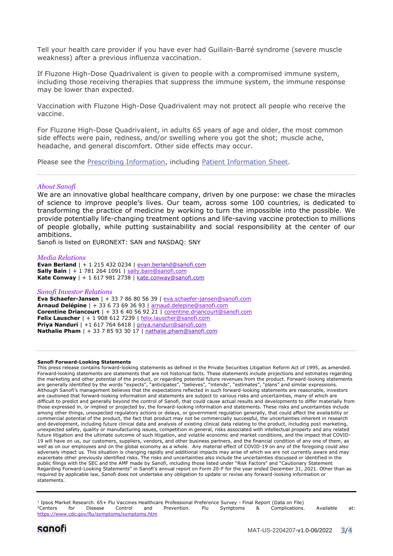Tell your health care provider if you have ever had Guillain-Barré syndrome (severe muscle weakness) after a previous influenza vaccination.

If Fluzone High-Dose Quadrivalent is given to people with a compromised immune system, including those receiving therapies that suppress the immune system, the immune response may be lower than expected.

Vaccination with Fluzone High-Dose Quadrivalent may not protect all people who receive the vaccine.

For Fluzone High-Dose Quadrivalent, in adults 65 years of age and older, the most common side effects were pain, redness, and/or swelling where you got the shot; muscle ache, headache, and general discomfort. Other side effects may occur.

Please see the [Prescribing Information,](https://c212.net/c/link/?t=0&l=en&o=3199599-1&h=1595888970&u=https%3A%2F%2Fwww.vaccineshoppe.com%2FfluzonehighdosequadrivalentPI&a=Prescribing+Information) including [Patient Information](https://c212.net/c/link/?t=0&l=en&o=3199599-1&h=714792156&u=https%3A%2F%2Fwww.vaccineshoppe.com%2FfluzonehighdosequadrivalentPIS&a=Patient+Information%C2%A0Sheet) Sheet.

#### *About Sanofi*

We are an innovative global healthcare company, driven by one purpose: we chase the miracles of science to improve people's lives. Our team, across some 100 countries, is dedicated to transforming the practice of medicine by working to turn the impossible into the possible. We provide potentially life-changing treatment options and life-saving vaccine protection to millions of people globally, while putting sustainability and social responsibility at the center of our ambitions.

Sanofi is listed on EURONEXT: SAN and NASDAQ: SNY

#### *Media Relations*

**Evan Berland** | + 1 215 432 0234 | [evan.berland@sanofi.com](mailto:evan.berland@sanofi.com) **Sally Bain** | + 1 781 264 1091 | [sally.bain@sanofi.com](mailto:sally.bain@sanofi.com) **Kate Conway** | + 1 617 981 2738 | [kate.conway@sanofi.com](mailto:kate.conway@sanofi.com)

#### *Sanofi Investor Relations*

**Eva Schaefer-Jansen** | + 33 7 86 80 56 39 | [eva.schaefer-jansen@sanofi.com](mailto:eva.schaefer-jansen@sanofi.com) **Arnaud Delépine** | + 33 6 73 69 36 93 | [arnaud.delepine@sanofi.com](mailto:arnaud.delepine@sanofi.com) **Corentine Driancourt** | + 33 6 40 56 92 21 | [corentine.driancourt@sanofi.com](mailto:corentine.driancourt@sanofi.com) **Felix Lauscher** | + 1 908 612 7239 | [felix.lauscher@sanofi.com](mailto:felix.lauscher@sanofi.com) **Priya Nanduri** | +1 617 764 6418 | [priya.nanduri@sanofi.com](mailto:priya.nanduri@sanofi.com) **Nathalie Pham** | + 33 7 85 93 30 17 | [nathalie.pham@sanofi.com](mailto:nathalie.pham@sanofi.com)

#### **Sanofi Forward-Looking Statements**

This press release contains forward-looking statements as defined in the Private Securities Litigation Reform Act of 1995, as amended. Forward-looking statements are statements that are not historical facts. These statements include projections and estimates regarding the marketing and other potential of the product, or regarding potential future revenues from the product. Forward-looking statements are generally identified by the words "expects", "anticipates", "believes", "intends", "estimates", "plans" and similar expressions. Although Sanofi's management believes that the expectations reflected in such forward-looking statements are reasonable, investors are cautioned that forward-looking information and statements are subject to various risks and uncertainties, many of which are difficult to predict and generally beyond the control of Sanofi, that could cause actual results and developments to differ materially from those expressed in, or implied or projected by, the forward-looking information and statements. These risks and uncertainties include among other things, unexpected regulatory actions or delays, or government regulation generally, that could affect the availability or commercial potential of the product, the fact that product may not be commercially successful, the uncertainties inherent in research and development, including future clinical data and analysis of existing clinical data relating to the product, including post marketing, unexpected safety, quality or manufacturing issues, competition in general, risks associated with intellectual property and any related future litigation and the ultimate outcome of such litigation, and volatile economic and market conditions, and the impact that COVID-19 will have on us, our customers, suppliers, vendors, and other business partners, and the financial condition of any one of them, as well as on our employees and on the global economy as a whole. Any material effect of COVID-19 on any of the foregoing could also adversely impact us. This situation is changing rapidly and additional impacts may arise of which we are not currently aware and may exacerbate other previously identified risks. The risks and uncertainties also include the uncertainties discussed or identified in the public filings with the SEC and the AMF made by Sanofi, including those listed under "Risk Factors" and "Cautionary Statement Regarding Forward-Looking Statements" in Sanofi's annual report on Form 20-F for the year ended December 31, 2021. Other than as required by applicable law, Sanofi does not undertake any obligation to update or revise any forward-looking information or statements.

1 Ipsos Market Research. 65+ Flu Vaccines Healthcare Professional Preference Survey - Final Report (Data on File) <sup>2</sup>Centers for Disease Control and Prevention. Flu Symptoms & Complications. Available at: <https://www.cdc.gov/flu/symptoms/symptoms.htm>